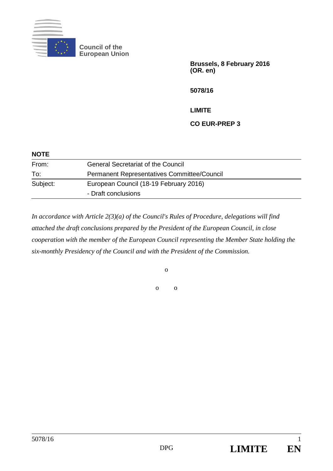

**Council of the European Union** 

> **Brussels, 8 February 2016 (OR. en)**

**5078/16** 

**LIMITE** 

## **CO EUR-PREP 3**

| <b>NOTE</b> |                                                    |
|-------------|----------------------------------------------------|
| From:       | <b>General Secretariat of the Council</b>          |
| To:         | <b>Permanent Representatives Committee/Council</b> |
| Subject:    | European Council (18-19 February 2016)             |
|             | - Draft conclusions                                |

*In accordance with Article 2(3)(a) of the Council's Rules of Procedure, delegations will find attached the draft conclusions prepared by the President of the European Council, in close cooperation with the member of the European Council representing the Member State holding the six-monthly Presidency of the Council and with the President of the Commission.* 

o

o o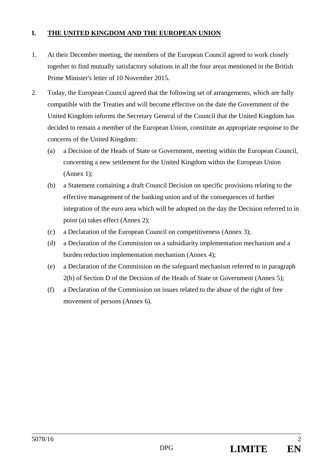## **I. THE UNITED KINGDOM AND THE EUROPEAN UNION**

- 1. At their December meeting, the members of the European Council agreed to work closely together to find mutually satisfactory solutions in all the four areas mentioned in the British Prime Minister's letter of 10 November 2015.
- 2. Today, the European Council agreed that the following set of arrangements, which are fully compatible with the Treaties and will become effective on the date the Government of the United Kingdom informs the Secretary General of the Council that the United Kingdom has decided to remain a member of the European Union, constitute an appropriate response to the concerns of the United Kingdom:
	- (a) a Decision of the Heads of State or Government, meeting within the European Council, concerning a new settlement for the United Kingdom within the European Union (Annex 1);
	- (b) a Statement containing a draft Council Decision on specific provisions relating to the effective management of the banking union and of the consequences of further integration of the euro area which will be adopted on the day the Decision referred to in point (a) takes effect (Annex 2);
	- (c) a Declaration of the European Council on competitiveness (Annex 3);
	- (d) a Declaration of the Commission on a subsidiarity implementation mechanism and a burden reduction implementation mechanism (Annex 4);
	- (e) a Declaration of the Commission on the safeguard mechanism referred to in paragraph 2(b) of Section D of the Decision of the Heads of State or Government (Annex 5);
	- (f) a Declaration of the Commission on issues related to the abuse of the right of free movement of persons (Annex 6).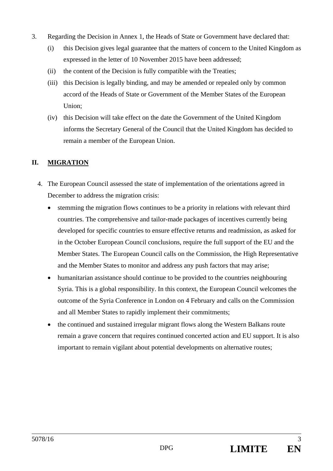- 3. Regarding the Decision in Annex 1, the Heads of State or Government have declared that:
	- (i) this Decision gives legal guarantee that the matters of concern to the United Kingdom as expressed in the letter of 10 November 2015 have been addressed;
	- (ii) the content of the Decision is fully compatible with the Treaties;
	- (iii) this Decision is legally binding, and may be amended or repealed only by common accord of the Heads of State or Government of the Member States of the European Union;
	- (iv) this Decision will take effect on the date the Government of the United Kingdom informs the Secretary General of the Council that the United Kingdom has decided to remain a member of the European Union.

## **II. MIGRATION**

- 4. The European Council assessed the state of implementation of the orientations agreed in December to address the migration crisis:
	- stemming the migration flows continues to be a priority in relations with relevant third countries. The comprehensive and tailor-made packages of incentives currently being developed for specific countries to ensure effective returns and readmission, as asked for in the October European Council conclusions, require the full support of the EU and the Member States. The European Council calls on the Commission, the High Representative and the Member States to monitor and address any push factors that may arise;
	- humanitarian assistance should continue to be provided to the countries neighbouring Syria. This is a global responsibility. In this context, the European Council welcomes the outcome of the Syria Conference in London on 4 February and calls on the Commission and all Member States to rapidly implement their commitments;
	- the continued and sustained irregular migrant flows along the Western Balkans route remain a grave concern that requires continued concerted action and EU support. It is also important to remain vigilant about potential developments on alternative routes;